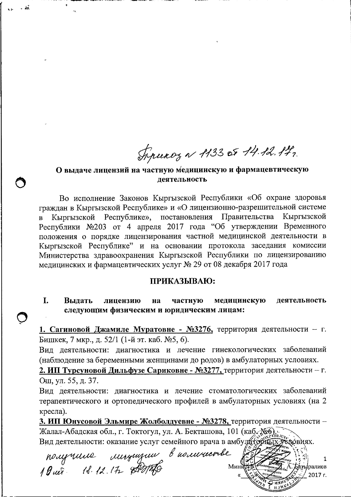Tipuxoz a 1133 et 14.12.17.

#### О выдаче лицензий на частную медицинскую и фармацевтическую леятельность

Во исполнение Законов Кыргызской Республики «Об охране здоровья граждан в Кыргызской Республике» и «О лицензионно-разрешительной системе Республике», постановления Правительства Кыргызской Кыргызской  $\overline{B}$ Республики №203 от 4 апреля 2017 года "Об утверждении Временного положения о порядке лицензирования частной медицинской деятельности в Кыргызской Республике" и на основании протокола заседания комиссии Министерства здравоохранения Кыргызской Республики по лицензированию медицинских и фармацевтических услуг № 29 от 08 декабря 2017 года

#### ПРИКАЗЫВАЮ:

I. медицинскую Выдать частную деятельность лицензию на следующим физическим и юридическим лицам:

1. Сагиновой Джамиле Муратовне - №3276, территория деятельности - г. Бишкек, 7 мкр., д. 52/1 (1-й эт. каб. №5, 6).

Вид деятельности: диагностика и лечение гинекологических заболеваний (наблюдение за беременными женщинами до родов) в амбулаторных условиях.

2. ИП Турсуновой Дильфузе Сариковне - №3277, территория деятельности - г. Ош, ул. 55, д. 37.

Вид деятельности: диагностика и лечение стоматологических заболеваний терапевтического и ортопедического профилей в амбулаторных условиях (на 2 кресла).

3. ИП Юнусовой Эльмире Жолболдуевне - №3278, территория деятельности -Жалал-Абадская обл., г. Токтогул, ул. А. Бекташова, 101 (каб. №6). Вид деятельности: оказание услуг семейного врача в амбудательности: оказание услуг семейного врача в амбудатель

nougrance ungengent buommente

1 Мині атыралиев 2017 г.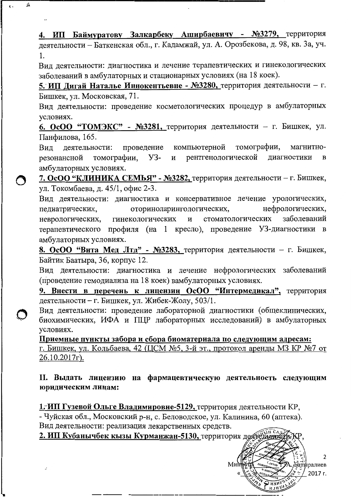4. ИП Баймуратову Залкарбеку Аширбаевичу - №3279, территория деятельности - Баткенская обл., г. Кадамжай, ул. А. Орозбекова, д. 98, кв. За, уч. 1.

ĥ

Вид деятельности: диагностика и лечение терапевтических и гинекологических заболеваний в амбулаторных и стационарных условиях (на 18 коек).

5. ИП Дигай Наталье Иннокентьевне - №3280, территория деятельности - г. Бишкек, ул. Московская, 71.

Вид деятельности: проведение косметологических процедур в амбулаторных условиях.

6. ОсОО "ТОМЭКС" - №3281, территория деятельности - г. Бишкек, ул. Панфилова, 165.

томографии, компьютерной Вид деятельности: проведение магнитнорезонансной томографии, **y3**рентгенологической диагностики  $\overline{\mathbf{M}}$  $\bf{B}$ амбулаторных условиях.

7. ОсОО "КЛИНИКА СЕМЬЯ" - №3282, территория деятельности - г. Бишкек, ул. Токомбаева, д. 45/1, офис 2-3.

Вид деятельности: диагностика и консервативное лечение урологических, оториноларингологических, нефрологических, педиатрических, стоматологических заболеваний неврологических, гинекологических  $\mathbf{M}$ терапевтического профиля (на 1 кресло), проведение УЗ-диагностики в амбулаторных условиях.

8. ОсОО "Вита Мед Лтд" - №3283, территория деятельности - г. Бишкек, Байтик Баатыра, 36, корпус 12.

Вид деятельности: диагностика и лечение нефрологических заболеваний (проведение гемодиализа на 18 коек) вамбулаторных условиях.

9. Внести в перечень к лицензии ОсОО "Интермедикал", территория деятельности - г. Бишкек, ул. Жибек-Жолу, 503/1.

Вид деятельности: проведение лабораторной диагностики (общеклинических, биохимических, ИФА и ПЦР лабораторных исследований) в амбулаторных условиях.

Приемные пункты забора и сбора биоматериала по следующим адресам: г. Бишкек, ул. Кольбаева, 42 (ЦСМ №5, 3-й эт., протокол аренды МЗ КР №7 от 26.10.2017r).

II. Выдать лицензию на фармацевтическую деятельность следующим юридическим лицам:

1. ИП Гузевой Ольге Владимировне-5129, территория деятельности КР, - Чуйская обл., Московский р-н, с. Беловодское, ул. Калинина, 60 (аптека). Вид деятельности: реализация лекарственных средств.

2. ИП Кубанычбек кызы Курманжан-5130, территория деяте